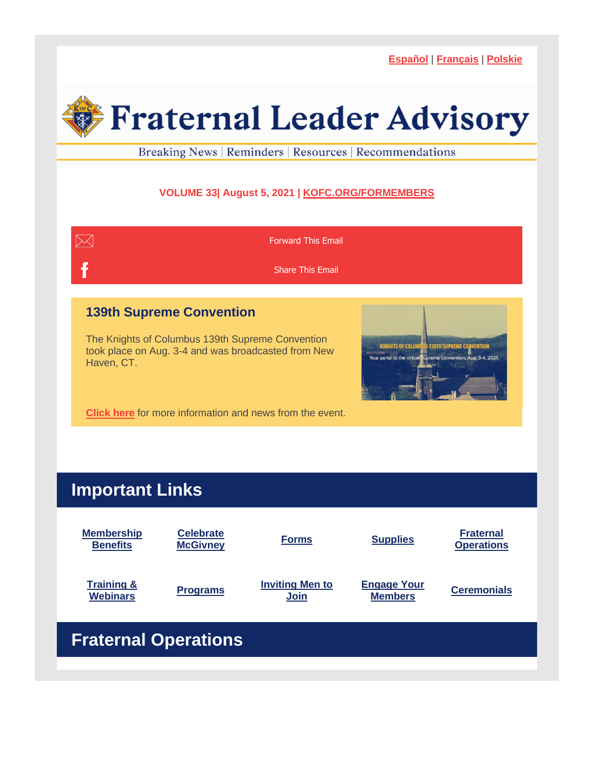**[Español](https://r20.rs6.net/tn.jsp?f=001djunHhgWaR98gcM6xaU_XMhjOuer7Fq92LfOcw-2GLw3eBMc7ArgYQEInfA802V4IB7U-7NVYZvd3z34LyZ82Ant2oaXS24ljMAFyOSA7NXI5CYFH7sslm_N45kRwG4BfZEdViSQU3ccPshrzgsNJQ==&c=68y_ZefG7ZpqpivhuyWVU7KAMy3ACg7PC45h7gEZc-U1mIEJ3yGwwg==&ch=qMiwcS23nsGgzbcGQ74VLohTXS_GsEumlApKwQIhXIBYKaovHgU5FA==)** | **[Français](https://r20.rs6.net/tn.jsp?f=001djunHhgWaR98gcM6xaU_XMhjOuer7Fq92LfOcw-2GLw3eBMc7ArgYQEInfA802V4xVHeN63miefjcZ7qZR9SF4IDtz1WxWo24AHTZabuTs8Jgo5yGJW9v8KulCOeVvolsp7Sq8b3dRFN2rXzWh1G4Q==&c=68y_ZefG7ZpqpivhuyWVU7KAMy3ACg7PC45h7gEZc-U1mIEJ3yGwwg==&ch=qMiwcS23nsGgzbcGQ74VLohTXS_GsEumlApKwQIhXIBYKaovHgU5FA==)** | **[Polskie](https://r20.rs6.net/tn.jsp?f=001djunHhgWaR98gcM6xaU_XMhjOuer7Fq92LfOcw-2GLw3eBMc7ArgYQEInfA802V4csD8y4REKa5wTPi93AbCNaquu2e6LOxACFdRsg53QaXyUqk3Hd6W7UFkYpVZWLqbJGCYc2-OVxn_EOoKZD4D8w==&c=68y_ZefG7ZpqpivhuyWVU7KAMy3ACg7PC45h7gEZc-U1mIEJ3yGwwg==&ch=qMiwcS23nsGgzbcGQ74VLohTXS_GsEumlApKwQIhXIBYKaovHgU5FA==)**



Breaking News | Reminders | Resources | Recommendations

## **VOLUME 33| August 5, 2021 | [KOFC.ORG/FORMEMBERS](https://r20.rs6.net/tn.jsp?f=001djunHhgWaR98gcM6xaU_XMhjOuer7Fq92LfOcw-2GLw3eBMc7ArgYQYeJm-TApuCper58hlSX3e8XK3vpqvVZpslKv2fGNFO_3SQwZXdaUXBCz3Gcmc-T5L1Hh4HTWVlFLOlxBb7mRAf81nRRr30nopBHq3haKWRnR-3qZzr_hdnO_UM-JpR60ywnPaQd6K_&c=68y_ZefG7ZpqpivhuyWVU7KAMy3ACg7PC45h7gEZc-U1mIEJ3yGwwg==&ch=qMiwcS23nsGgzbcGQ74VLohTXS_GsEumlApKwQIhXIBYKaovHgU5FA==)**



**[Click](https://r20.rs6.net/tn.jsp?f=001djunHhgWaR98gcM6xaU_XMhjOuer7Fq92LfOcw-2GLw3eBMc7ArgYcKQwr3zRA7m9TBY-sSQ_4fdJIT727pFp1iadBK5qVkGygGtB-GkNLt8gaHXBtvkxWBVn149KQKv8Tdzrl1t_Zv6o1caxH2mabwdzbnHMNqGjTUdK1BjEiJJDzPPM176L4AbCwiNnBDjpBnH4fRYfOz0-x5Yv5nhPZQd69mhi-7e_oUPgwWaZjPBY3jPkWUFKa5jerI5GxWFg0o6PGTt83-7uY3geW59f8mTG_j_YjMcgy9uL_SmMzH1balk-LcgIuTJ7Jdk1g3U0rBj09hNbP0=&c=68y_ZefG7ZpqpivhuyWVU7KAMy3ACg7PC45h7gEZc-U1mIEJ3yGwwg==&ch=qMiwcS23nsGgzbcGQ74VLohTXS_GsEumlApKwQIhXIBYKaovHgU5FA==) here** for more information and news from the event.

# **Important Links**

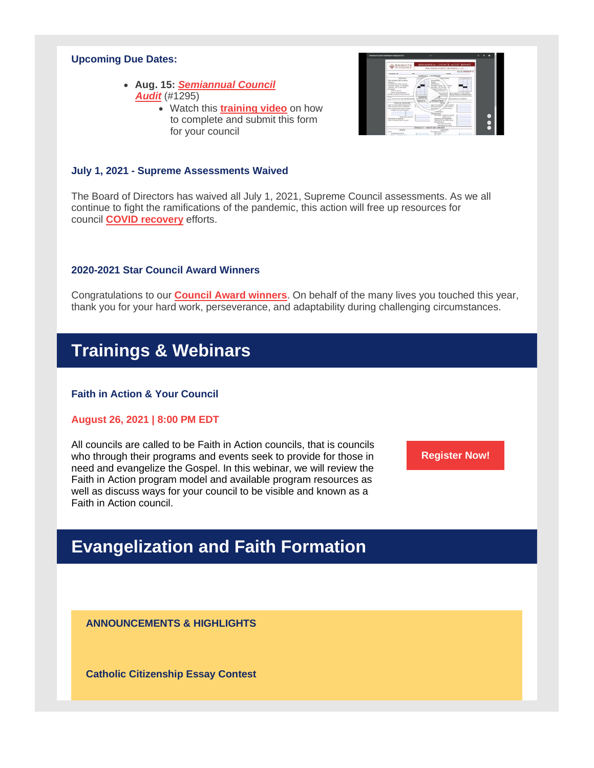#### **Upcoming Due Dates:**

- **Aug. 15:** *[Semiannual](https://r20.rs6.net/tn.jsp?f=001djunHhgWaR98gcM6xaU_XMhjOuer7Fq92LfOcw-2GLw3eBMc7ArgYTpsrQo4r2seeAoMbpxj--DPPp6HXDd6KjCNQTHK73JIjLJneoCdK9YNBIQHtf4-BNqcd87mpuYz-HW6m2z-Tts-YipVIjwXuhRrLqjstE6pbZZM4ZhoWR_clO8dV9mkOzDaSU_RcE0EgBjIUx3RQdDH-VOIyjnDV-FVy7OVyftfBjNarpMS1zBCDBnNNyJNsZTbspoGBVmPCGLXbAlMuhXiNYiqLV2V9ipWUKBGh5jN_Xap7ukC1SyMZVXGF74iAGpI-GogO-nW&c=68y_ZefG7ZpqpivhuyWVU7KAMy3ACg7PC45h7gEZc-U1mIEJ3yGwwg==&ch=qMiwcS23nsGgzbcGQ74VLohTXS_GsEumlApKwQIhXIBYKaovHgU5FA==) Council [Audit](https://r20.rs6.net/tn.jsp?f=001djunHhgWaR98gcM6xaU_XMhjOuer7Fq92LfOcw-2GLw3eBMc7ArgYTpsrQo4r2seeAoMbpxj--DPPp6HXDd6KjCNQTHK73JIjLJneoCdK9YNBIQHtf4-BNqcd87mpuYz-HW6m2z-Tts-YipVIjwXuhRrLqjstE6pbZZM4ZhoWR_clO8dV9mkOzDaSU_RcE0EgBjIUx3RQdDH-VOIyjnDV-FVy7OVyftfBjNarpMS1zBCDBnNNyJNsZTbspoGBVmPCGLXbAlMuhXiNYiqLV2V9ipWUKBGh5jN_Xap7ukC1SyMZVXGF74iAGpI-GogO-nW&c=68y_ZefG7ZpqpivhuyWVU7KAMy3ACg7PC45h7gEZc-U1mIEJ3yGwwg==&ch=qMiwcS23nsGgzbcGQ74VLohTXS_GsEumlApKwQIhXIBYKaovHgU5FA==)* (#1295)
	- Watch this **[training](https://r20.rs6.net/tn.jsp?f=001djunHhgWaR98gcM6xaU_XMhjOuer7Fq92LfOcw-2GLw3eBMc7ArgYQEInfA802V4JbAnGrawzvx8aWlqMA9oSF8kUaJ5VZn3fsW7anpsXigxe31ojmqO25wk3j61o-PvVPnkFOiGLxTCfiIdNlczGE_VDFfPWex_olTAKC9U4iZIQGRMoxNTYLlLF9g14mkS2q5v1XlJ2uk9seRTER40Qj1o5DWb82Jqg3aPuRRcmTKBrDdd8y2UByk7Km_Dxl9DipKQ1q2n98aqT7K5e5LPxcmwRfSLdSkp3vFkoPm37BzUXvuAKA0jfA==&c=68y_ZefG7ZpqpivhuyWVU7KAMy3ACg7PC45h7gEZc-U1mIEJ3yGwwg==&ch=qMiwcS23nsGgzbcGQ74VLohTXS_GsEumlApKwQIhXIBYKaovHgU5FA==) video** on how to complete and submit this form for your council

| <b>Environment Council Audit Human andrea Dan 31st</b>                                                                                                                                                                                                                                                                                                                                                                                                                                                                                                                       | 7.73                                                                                                                                             |                                                                                                                                                                                                                                                                                                                                                                                                                                                                                                                                                                                                                                                                                                                                         | o              |
|------------------------------------------------------------------------------------------------------------------------------------------------------------------------------------------------------------------------------------------------------------------------------------------------------------------------------------------------------------------------------------------------------------------------------------------------------------------------------------------------------------------------------------------------------------------------------|--------------------------------------------------------------------------------------------------------------------------------------------------|-----------------------------------------------------------------------------------------------------------------------------------------------------------------------------------------------------------------------------------------------------------------------------------------------------------------------------------------------------------------------------------------------------------------------------------------------------------------------------------------------------------------------------------------------------------------------------------------------------------------------------------------------------------------------------------------------------------------------------------------|----------------|
| <b>KNIGHTS</b>                                                                                                                                                                                                                                                                                                                                                                                                                                                                                                                                                               |                                                                                                                                                  | SEMIANNUAL COUNCIL AUDIT REPORT<br>TOR PERIOD INDED DECEMBER 31, 30                                                                                                                                                                                                                                                                                                                                                                                                                                                                                                                                                                                                                                                                     |                |
| DOUNCE, NO.                                                                                                                                                                                                                                                                                                                                                                                                                                                                                                                                                                  | <b>GTY</b><br>ARTHRACHUSE<br>WANTED & A.                                                                                                         | Our By, FEDERAMY 10<br>stars                                                                                                                                                                                                                                                                                                                                                                                                                                                                                                                                                                                                                                                                                                            |                |
| <b>ADDITIONAL</b><br>has wentern start of percent<br><b>STATISTICS</b><br>Escalas from other councils<br>Taroles-about to insurance<br>Transferior bis to announce<br>Reservices<br>Total for contact:<br>Minor brint delivations<br><b>Builder chemise's end of period</b><br>Our council upon Marriage Mariag-<br>FARKLE, BOSTON<br>Cash or hard beginning of peerst<br>Cost renders - from video con-<br>Cost received finit rates sources<br><b>Existent find and languisti</b><br>Tringf meetings and<br>Europeaned to transporte<br>Could cit hourst at work of period | <b>Automobile</b><br><b>Counting</b><br>AWARANS<br><b>SPARNERS</b><br>without ar DA<br><b>MISSION COLL</b><br><b>Promotion</b> St<br>Delhamensen | <b>Billion Corporate</b><br>am James I Feb.<br>Newborn, apply<br><b>Station</b><br>Technology - Inc. An analy<br>u<br>when his either cross-<br><b>Not shake forms</b><br><b>Editorial Importance, In Stills suppliers</b><br><b>A Journal</b><br><b>Sentric Resources Million Cookies</b><br><b>Side of the</b><br><b>Granus for come</b><br>and Schweizer & In surreliant<br>TRANSATTIONS<br><b>Theat</b><br>Castlem hand first<br>April patriot<br><b>Received Nicola</b><br>An excellent<br>distant works<br>and French Av<br>Per carrie: Suprema Quantil<br>Form more?<br><b>Below of substitute and property and</b><br>Standberg At san Hallyer Aricha<br>Marylaneoin<br>Total distrustructure<br><b>Box Engineers can brack</b> | ۰<br>$\bullet$ |
|                                                                                                                                                                                                                                                                                                                                                                                                                                                                                                                                                                              | <b>SCHEDULE C - ARRETS AND LIANS FEED</b>                                                                                                        |                                                                                                                                                                                                                                                                                                                                                                                                                                                                                                                                                                                                                                                                                                                                         |                |
| ASSETT<br><b>Cash</b><br><b>Unifered Net</b>                                                                                                                                                                                                                                                                                                                                                                                                                                                                                                                                 |                                                                                                                                                  | Lists First<br>Dat Supreme Council<br>Per sache                                                                                                                                                                                                                                                                                                                                                                                                                                                                                                                                                                                                                                                                                         |                |

#### **July 1, 2021 - Supreme Assessments Waived**

The Board of Directors has waived all July 1, 2021, Supreme Council assessments. As we all continue to fight the ramifications of the pandemic, this action will free up resources for council **COVID [recovery](https://r20.rs6.net/tn.jsp?f=001djunHhgWaR98gcM6xaU_XMhjOuer7Fq92LfOcw-2GLw3eBMc7ArgYaAbualkcU3Fem4bGoVvaZNi2DTCd1YWY6-oYHZqWkpcsHPQlOzrxxHyrzjgSVuOIHF5tPAlDEvEjuhCkWMqBUOMfB0yV4sRYJ6TCtZFMpYw76PCQbtn90BSRS15cIVgCKgmlhnFslxk6c7_cDCW1pI4pXLnmFCl0LDJIFGDX5JewpcKB0_knd7P5M4CiKHizsEl6FNPKss9Sqw7LdoZ8fZLRB9dagoR3iQo06yDPjbuX-9WoYTMK5E1pdH-O1xvdeq_Ozlk55L4D27RW-oV17jCFGMJwGKwAMifRj6d2ULj6vesiAyzlh0=&c=68y_ZefG7ZpqpivhuyWVU7KAMy3ACg7PC45h7gEZc-U1mIEJ3yGwwg==&ch=qMiwcS23nsGgzbcGQ74VLohTXS_GsEumlApKwQIhXIBYKaovHgU5FA==)** efforts.

#### **2020-2021 Star Council Award Winners**

Congratulations to our **Council Award [winners](https://r20.rs6.net/tn.jsp?f=001djunHhgWaR98gcM6xaU_XMhjOuer7Fq92LfOcw-2GLw3eBMc7ArgYQEInfA802V4jLxkMsgOUTfItTBdZQNjC003Gm5Sy1Ymfut0xawXCPGcFCVep062BdkmsO1XPobKX823hozzFvTYehLQ4qun__vZ0rC_W4PVz9Pxn54DNO7siF9cVVBSzc_bp4d7B0G9aCaLxzvYBM8HxAQMvF-ibuYOeGPF3e7SsHkrOb1U_Gw=&c=68y_ZefG7ZpqpivhuyWVU7KAMy3ACg7PC45h7gEZc-U1mIEJ3yGwwg==&ch=qMiwcS23nsGgzbcGQ74VLohTXS_GsEumlApKwQIhXIBYKaovHgU5FA==)**. On behalf of the many lives you touched this year, thank you for your hard work, perseverance, and adaptability during challenging circumstances.

## **Trainings & Webinars**

## **Faith in Action & Your Council**

#### **August 26, 2021 | 8:00 PM EDT**

All councils are called to be Faith in Action councils, that is councils who through their programs and events seek to provide for those in need and evangelize the Gospel. In this webinar, we will review the Faith in Action program model and available program resources as well as discuss ways for your council to be visible and known as a Faith in Action council.

**[Register](https://r20.rs6.net/tn.jsp?f=001djunHhgWaR98gcM6xaU_XMhjOuer7Fq92LfOcw-2GLw3eBMc7ArgYQEInfA802V4bkIkc39N1W0Z4Gfyp-d3fm1a8sy05Nj7F_sDuj0lciEROXmDp6oR1cw-sM-n6QfBVnXJQLX8QlAq0KRNU7KFEGgf9DCOrw2NrIaQZ9B0Y37CuWnr76U95M8CmqrPZdv9lYfb1yN1ny6cukFwNJQv5w6bT9IPtBmG_rd80io3mfs=&c=68y_ZefG7ZpqpivhuyWVU7KAMy3ACg7PC45h7gEZc-U1mIEJ3yGwwg==&ch=qMiwcS23nsGgzbcGQ74VLohTXS_GsEumlApKwQIhXIBYKaovHgU5FA==) Now!**

# **Evangelization and Faith Formation**

**ANNOUNCEMENTS & HIGHLIGHTS**

**Catholic Citizenship Essay Contest**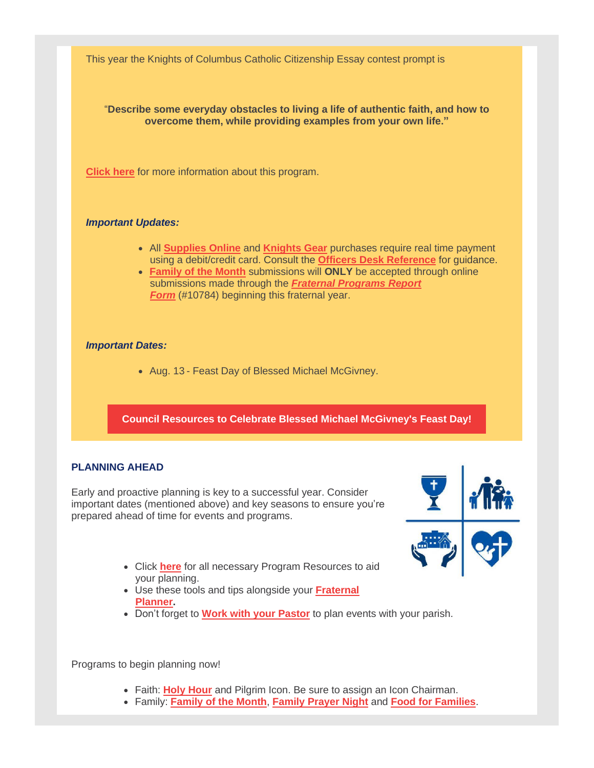This year the Knights of Columbus Catholic Citizenship Essay contest prompt is

"**Describe some everyday obstacles to living a life of authentic faith, and how to overcome them, while providing examples from your own life."**

**[Click](https://r20.rs6.net/tn.jsp?f=001djunHhgWaR98gcM6xaU_XMhjOuer7Fq92LfOcw-2GLw3eBMc7ArgYVUAmNYlaHeVABEdE5t9FkJ5EJ74x39z_G74jw71wGJSdWPP-55F_7PYjm4GWzELmUnXl9POBCQIfYPTLK41mMLM5NWeoZUBPHNy0ewSNtqLR22aocHY8kfFhXTy9-GsR_avwKgRBRSuWSTVQFZYjk9qOQWdn0yTcZyAUFOG9XTODWBpPxBkA3i2BJiAoQ2fTZPVNdgDcnwoLHv8rZQR1OTSP4XlN5r3vjBcyBY2FX7Toh2zjqIOlMFmkKC2CR5hhFAfDQ-HtIMKN5yTLQ3-GHhG1fvjLC3843uNE_HTkuLrZQOfHaFNmoWBPGipBhJz1w==&c=68y_ZefG7ZpqpivhuyWVU7KAMy3ACg7PC45h7gEZc-U1mIEJ3yGwwg==&ch=qMiwcS23nsGgzbcGQ74VLohTXS_GsEumlApKwQIhXIBYKaovHgU5FA==) here** for more information about this program.

### *Important Updates:*

- All **[Supplies](https://r20.rs6.net/tn.jsp?f=001djunHhgWaR98gcM6xaU_XMhjOuer7Fq92LfOcw-2GLw3eBMc7ArgYWvn1qjcL7vIJ5cAG9J-IydEV99KGlNgbNkujA3Ux8PM9vU7Q_R_5N5oo4lU0nvAsP3YWLTxLviSW30ZN0p7mA9VC9tFtq36or8TuwbW7mKujlzpyAMu9r5eZST6sbB42C50wW-azjAT5mjgHrOwbFAHn6O6Wx9-PAyRjUk2wCxA5WY8BQcn5pNVsNwAzhJDNWErtwSXIq_-hrJ9sVkOGvNMDy0IqaHHb4AGV5jzV1J745fQaSX9fSpL6kTE1-kvuXGPzFy6iQSW&c=68y_ZefG7ZpqpivhuyWVU7KAMy3ACg7PC45h7gEZc-U1mIEJ3yGwwg==&ch=qMiwcS23nsGgzbcGQ74VLohTXS_GsEumlApKwQIhXIBYKaovHgU5FA==) Online** and **[Knights](https://r20.rs6.net/tn.jsp?f=001djunHhgWaR98gcM6xaU_XMhjOuer7Fq92LfOcw-2GLw3eBMc7ArgYXv-sINYw_xAP89A_3tgw4z8zBLlz_ZGk2NIa5C4HNwpJhPMS7X5qEmFC7lcSyfJKy0vxbzUUaj7gCRL4Chhx0NixcmjKS6IUTS7KjLmz-dBaOWqOSMOKbnXIxLk2SwrYecg3bASvH8uF6QL0ItRLASdTrk4BUqfFrtRNYjV0EjQLJi96NFl8Y3JGU13K-WRa8VCR5l4mjik6qXzeaacJuA8Oyirgz93sg==&c=68y_ZefG7ZpqpivhuyWVU7KAMy3ACg7PC45h7gEZc-U1mIEJ3yGwwg==&ch=qMiwcS23nsGgzbcGQ74VLohTXS_GsEumlApKwQIhXIBYKaovHgU5FA==) Gear** purchases require real time payment using a debit/credit card. Consult the **Officers Desk [Reference](https://r20.rs6.net/tn.jsp?f=001djunHhgWaR98gcM6xaU_XMhjOuer7Fq92LfOcw-2GLw3eBMc7ArgYWvn1qjcL7vIJ5cAG9J-IydEV99KGlNgbNkujA3Ux8PM9vU7Q_R_5N5oo4lU0nvAsP3YWLTxLviSW30ZN0p7mA9VC9tFtq36or8TuwbW7mKujlzpyAMu9r5eZST6sbB42HeaY7xO-csO&c=68y_ZefG7ZpqpivhuyWVU7KAMy3ACg7PC45h7gEZc-U1mIEJ3yGwwg==&ch=qMiwcS23nsGgzbcGQ74VLohTXS_GsEumlApKwQIhXIBYKaovHgU5FA==)** for guidance.
- **[Family](https://r20.rs6.net/tn.jsp?f=001djunHhgWaR98gcM6xaU_XMhjOuer7Fq92LfOcw-2GLw3eBMc7ArgYXv-sINYw_xAyjzF-SrwEigMK4C1w9ULFZ9baur1foBsxVW8bmPYJxPJe-ofEvZZBUebeSNPjlP-PMBBU0F4gTPGqJz3m_dUtxaY3yL2URSJjQA8tmm3Zm4kWWojX5lvx5GRclkdP2RJk44ta5vp5ym-xujIOnTyRxXOjE773H2vIjF6Wr9kocQB3xhdLZtJbv22Ulbt7nWjTNSGmFEZr0oMIG6DdyGuvm0T8Ejzug7qvX9lOjK0X8ek0I-suvdokR8XobQ_49gpsYeaJop8MNsU0-EeAMqZmShmB12-rbN89_mWuOyi_L8=&c=68y_ZefG7ZpqpivhuyWVU7KAMy3ACg7PC45h7gEZc-U1mIEJ3yGwwg==&ch=qMiwcS23nsGgzbcGQ74VLohTXS_GsEumlApKwQIhXIBYKaovHgU5FA==) of the Month** submissions will **ONLY** be accepted through online submissions made through the *Fraternal [Programs](https://r20.rs6.net/tn.jsp?f=001djunHhgWaR98gcM6xaU_XMhjOuer7Fq92LfOcw-2GLw3eBMc7ArgYd_9gJc-ztu7sHInwnJktK_sL76_udVmgYkZwOktGchPpe4861obe7KqLRZUhN4l6_F-9fARt_wD4MF7OwKMCWvFIhK4J4pivjDIQhdFPWWITwdgZ7P1aCdh_c9nDjX1MKh0s8oUFEQM_g7MwlmNmcMBDbbmR_jL2lbDqKOQoc-E_NtNjs1b7XZe1OCSt4UHm7k44EsUAmjJlWNbvGkIb8Haw-n1ZqzOPBLQoDwhql3Ah8kr6_bi7jcf6I6UUGnr3ueNFKqIMIqGlrNUMd1laFb3ztdu0_O8RQ==&c=68y_ZefG7ZpqpivhuyWVU7KAMy3ACg7PC45h7gEZc-U1mIEJ3yGwwg==&ch=qMiwcS23nsGgzbcGQ74VLohTXS_GsEumlApKwQIhXIBYKaovHgU5FA==) Report [Form](https://r20.rs6.net/tn.jsp?f=001djunHhgWaR98gcM6xaU_XMhjOuer7Fq92LfOcw-2GLw3eBMc7ArgYd_9gJc-ztu7sHInwnJktK_sL76_udVmgYkZwOktGchPpe4861obe7KqLRZUhN4l6_F-9fARt_wD4MF7OwKMCWvFIhK4J4pivjDIQhdFPWWITwdgZ7P1aCdh_c9nDjX1MKh0s8oUFEQM_g7MwlmNmcMBDbbmR_jL2lbDqKOQoc-E_NtNjs1b7XZe1OCSt4UHm7k44EsUAmjJlWNbvGkIb8Haw-n1ZqzOPBLQoDwhql3Ah8kr6_bi7jcf6I6UUGnr3ueNFKqIMIqGlrNUMd1laFb3ztdu0_O8RQ==&c=68y_ZefG7ZpqpivhuyWVU7KAMy3ACg7PC45h7gEZc-U1mIEJ3yGwwg==&ch=qMiwcS23nsGgzbcGQ74VLohTXS_GsEumlApKwQIhXIBYKaovHgU5FA==)* (#10784) beginning this fraternal year.

#### *Important Dates:*

• Aug. 13 - Feast Day of Blessed Michael McGivney.

**Council Resources to Celebrate Blessed Michael [McGivney's](https://r20.rs6.net/tn.jsp?f=001djunHhgWaR98gcM6xaU_XMhjOuer7Fq92LfOcw-2GLw3eBMc7ArgYar6n6PzHgTYnufiX7IF18gAYWk-5R1JoTEyerLmXrK3l9sfXQPy5KeZnRwYn5sXA8f_dLEW4JRkNQBeQs89ArPIDobuRbwV0eS8mt87v-N4qGL0-zQ_Hc877bCgpEzxkxT0yJuBAYQf0JbWM2s5OuLZbxFVWOh4_-9xPvkj0KtsnQejNnsJ-zX_OFOi2ICO1unqnE_P05Zc_JPYoVS3JTl8OaC54bz7SxAeHU5Od92I-6BpIMc4Ch-GffhbgkBSB9CqHxzWq15rzEJfs6XqUaIF-zYUxKfT2t3ak1JXy4jq84yqBTlo-Kg=&c=68y_ZefG7ZpqpivhuyWVU7KAMy3ACg7PC45h7gEZc-U1mIEJ3yGwwg==&ch=qMiwcS23nsGgzbcGQ74VLohTXS_GsEumlApKwQIhXIBYKaovHgU5FA==) Feast Day!**

## **PLANNING AHEAD**

Early and proactive planning is key to a successful year. Consider important dates (mentioned above) and key seasons to ensure you're prepared ahead of time for events and programs.



- Click **[here](https://r20.rs6.net/tn.jsp?f=001djunHhgWaR98gcM6xaU_XMhjOuer7Fq92LfOcw-2GLw3eBMc7ArgYXvAx_fJew2q8RCukohbwKMFLEfGz55WbxT1gQjakzSvQcC_wcV77awv8pIZGFi0v4rejytTPPyPNwte2Kw2XXd0Do7abIctL24rFzg9EE478_UkrdVg85Ulr3pNojf4cGSxyPAMLC0heGPtue0NH42kCNZ5a8EyAEk7Jpxb3pgm4LHbQts_e6iZhcZHUyGeZK4rbvssgbt2K31jilLzCg6JmSE-5-iQHeqDWQa1cWpZoFIDJzIRbcVBm7yiGUVfyb6rd5dmcrZS6e-jwM8ziKpD9tyRGljFBSkPxu-N-HQ08l_ZAO9EMnXMeUTCEkqknw==&c=68y_ZefG7ZpqpivhuyWVU7KAMy3ACg7PC45h7gEZc-U1mIEJ3yGwwg==&ch=qMiwcS23nsGgzbcGQ74VLohTXS_GsEumlApKwQIhXIBYKaovHgU5FA==)** for all necessary Program Resources to aid your planning.
- Use these tools and tips alongside your **[Fraternal](https://r20.rs6.net/tn.jsp?f=001djunHhgWaR98gcM6xaU_XMhjOuer7Fq92LfOcw-2GLw3eBMc7ArgYQEInfA802V4e9UaXMEW99ezwVhxKap2f4FLhHb5EdT3Jud4k2XPCgitwtYitOpEvYShVCqedyWmnHX7RbNoj0iF1WWHKSvTAetuBA-kHTjzKS0qgc5snGJ-x2kKZHAKVyDb0D2ZDCwIwZGpOadmlRl6a_iKirw8mzRfmDuiBO42DBA3KU4TYfYm-OMksvBv1ZFB0maUZBP0cv1sekLaFgWj4wKOmpdDWiJEA-arKvRtM2_s4-8q1xGrvzKCq8m9EC-kXhlaMBAkMTs8rw5EGrzQOnUwfqVFPHGTJJx4uveA6SD59TCYjRI=&c=68y_ZefG7ZpqpivhuyWVU7KAMy3ACg7PC45h7gEZc-U1mIEJ3yGwwg==&ch=qMiwcS23nsGgzbcGQ74VLohTXS_GsEumlApKwQIhXIBYKaovHgU5FA==) [Planner.](https://r20.rs6.net/tn.jsp?f=001djunHhgWaR98gcM6xaU_XMhjOuer7Fq92LfOcw-2GLw3eBMc7ArgYQEInfA802V4e9UaXMEW99ezwVhxKap2f4FLhHb5EdT3Jud4k2XPCgitwtYitOpEvYShVCqedyWmnHX7RbNoj0iF1WWHKSvTAetuBA-kHTjzKS0qgc5snGJ-x2kKZHAKVyDb0D2ZDCwIwZGpOadmlRl6a_iKirw8mzRfmDuiBO42DBA3KU4TYfYm-OMksvBv1ZFB0maUZBP0cv1sekLaFgWj4wKOmpdDWiJEA-arKvRtM2_s4-8q1xGrvzKCq8m9EC-kXhlaMBAkMTs8rw5EGrzQOnUwfqVFPHGTJJx4uveA6SD59TCYjRI=&c=68y_ZefG7ZpqpivhuyWVU7KAMy3ACg7PC45h7gEZc-U1mIEJ3yGwwg==&ch=qMiwcS23nsGgzbcGQ74VLohTXS_GsEumlApKwQIhXIBYKaovHgU5FA==)**
- Don't forget to **Work with your [Pastor](https://r20.rs6.net/tn.jsp?f=001djunHhgWaR98gcM6xaU_XMhjOuer7Fq92LfOcw-2GLw3eBMc7ArgYbtmNIGnGx2q8no_6JhvrbAzEb914YKwZvGySTNXUygseCZh4qpuYIBOZpjva7fhU-BMzLOslg4bnk96BlbSazxW3QNZUTsStYJ3mO8eLBuZwJshHIY9pIycB1MZ5COQ1BE_Blpz5YcUpVjBlfSA5iAbsFG95ee7BXtXpfWExfgsrj4CbcjF2XAo2z029HrpKUK0iDJVAUQxkD2mXlJChKK3FmeZGN2xa-lrtYv5GkU-sxtxMP2cP3IH8c4bQhZb9IloWfkGZCiDjUpKmInxsMJAc2UJNHMAjQ==&c=68y_ZefG7ZpqpivhuyWVU7KAMy3ACg7PC45h7gEZc-U1mIEJ3yGwwg==&ch=qMiwcS23nsGgzbcGQ74VLohTXS_GsEumlApKwQIhXIBYKaovHgU5FA==)** to plan events with your parish.

Programs to begin planning now!

- Faith: **Holy [Hour](https://r20.rs6.net/tn.jsp?f=001djunHhgWaR98gcM6xaU_XMhjOuer7Fq92LfOcw-2GLw3eBMc7ArgYQEInfA802V4Y2tNeNPQens7gRYhG0shf024buMgLjUDkXD2_F1SeqYUT3D1KZbwiNAuVZCXcZ2-2g0NBPgkp7mUbQdVaTquHcRJh-KppYpx3pd2MxAo2XtydNB7Ne7Onhld7Mf9P8QdqCKmd1DlzrI2scE8S8vV2lzWG-cKfx1_vImzVRylUHoGwL7K9bYLUKrYmDbVcfiRkd2Y61W_cGRCeXa3AStDEi7BlxVklUVjIuBUA6sNiOVn81r-XDPM9njFshN214nizZhMGDL5J186_sjTG6xNETtRMh-GLlGv&c=68y_ZefG7ZpqpivhuyWVU7KAMy3ACg7PC45h7gEZc-U1mIEJ3yGwwg==&ch=qMiwcS23nsGgzbcGQ74VLohTXS_GsEumlApKwQIhXIBYKaovHgU5FA==)** and Pilgrim Icon. Be sure to assign an Icon Chairman.
- Family: **[Family](https://r20.rs6.net/tn.jsp?f=001djunHhgWaR98gcM6xaU_XMhjOuer7Fq92LfOcw-2GLw3eBMc7ArgYXv-sINYw_xAyjzF-SrwEigMK4C1w9ULFZ9baur1foBsxVW8bmPYJxPJe-ofEvZZBUebeSNPjlP-PMBBU0F4gTPGqJz3m_dUtxaY3yL2URSJjQA8tmm3Zm4kWWojX5lvx5GRclkdP2RJk44ta5vp5ym-xujIOnTyRxXOjE773H2vIjF6Wr9kocQB3xhdLZtJbv22Ulbt7nWjTNSGmFEZr0oMIG6DdyGuvm0T8Ejzug7qvX9lOjK0X8ek0I-suvdokR8XobQ_49gpsYeaJop8MNsU0-EeAMqZmShmB12-rbN89_mWuOyi_L8=&c=68y_ZefG7ZpqpivhuyWVU7KAMy3ACg7PC45h7gEZc-U1mIEJ3yGwwg==&ch=qMiwcS23nsGgzbcGQ74VLohTXS_GsEumlApKwQIhXIBYKaovHgU5FA==) of the Month**, **[Family](https://r20.rs6.net/tn.jsp?f=001djunHhgWaR98gcM6xaU_XMhjOuer7Fq92LfOcw-2GLw3eBMc7ArgYQEInfA802V4JCoJMCOnlqJy8GofDnR35yx3S2CbkL8FbjGrkAEDrfW5gOjI6oDDX8MBdl9irupseOw8Wgi0Uxj94FMeDeV7Kix-_ntHv1f8du4OFm1pQZPzo1dzblG7P2ZbmWjbdIXDumLi9hCdhi-u4JG9teamgOkY1GsF-8HiuxnA1_tg_-i-AK0vcuJN9xSJ3cZMcEW8gk9gM-WXc060wtJbmoRjIOOGt9ViqL98YCZZ_9DniZGbv1okfJ2TBdjxqYUB2_BZh4ksmg_lB_zdxLje1kkdoRW84J_jyQulkogPgk93Tkk=&c=68y_ZefG7ZpqpivhuyWVU7KAMy3ACg7PC45h7gEZc-U1mIEJ3yGwwg==&ch=qMiwcS23nsGgzbcGQ74VLohTXS_GsEumlApKwQIhXIBYKaovHgU5FA==) Prayer Night** and **Food for [Families](https://r20.rs6.net/tn.jsp?f=001djunHhgWaR98gcM6xaU_XMhjOuer7Fq92LfOcw-2GLw3eBMc7ArgYQEInfA802V4SoImqdYj3nH1zf3QKQUVvC_faVRskHxuKq7xc6YPeWsPSWMM3deUa3JhWHN2HsQIt0_a8TJ_PS7rfUyijqr42kr2-Dj7qLUE_ZIe6JVMkMZm9PHdw8VYKNjLMn-O-wjrja1COnaTfWwJDkUv4NJyhn7hEynC2r3MSViy9DjSlT-K2_InpL7XXDEJW2t8ZyaDVaT9YuHXUZD8VU4C5AaogTKcD0vBMVpfnoqsN2MJbQNmrfGfGINTzvpEzjVCkAzVQu6mWVY6xxRuvDMu48hrkBpKXPV_VQToQACHdLmvN9M=&c=68y_ZefG7ZpqpivhuyWVU7KAMy3ACg7PC45h7gEZc-U1mIEJ3yGwwg==&ch=qMiwcS23nsGgzbcGQ74VLohTXS_GsEumlApKwQIhXIBYKaovHgU5FA==)**.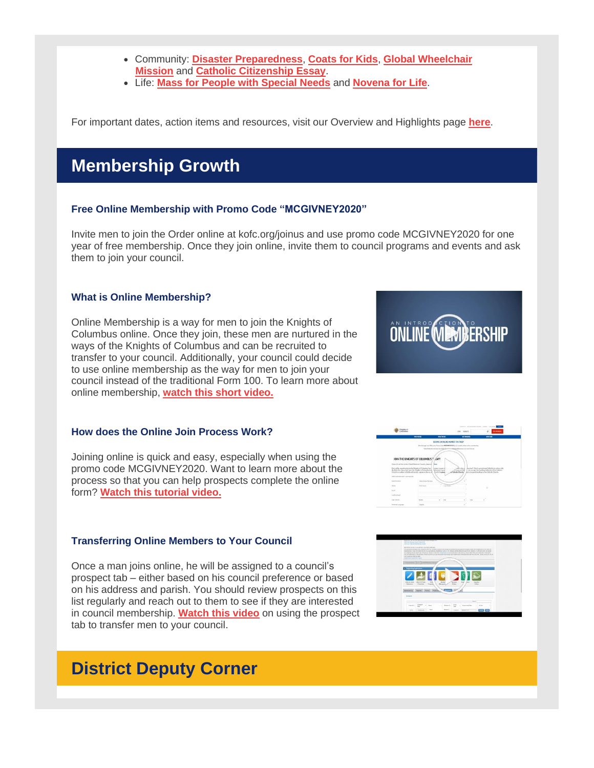- Community: **Disaster [Preparedness](https://r20.rs6.net/tn.jsp?f=001djunHhgWaR98gcM6xaU_XMhjOuer7Fq92LfOcw-2GLw3eBMc7ArgYQEInfA802V4_1G3Tef76ngP91dfdve4KU3DMzc7535J0EdeKPKVAMhv6_bUaFrVrkyf0sw5ztxVT4QCGfLsWAEonY1F9QVwcNgoYxzMFJhjnn3KSUpCiD4DxaDcu6b_r2oqH5Y5-yz4rpyV_qBaIZo3qFXIgh0t2MfL6NIwFGYKJowiVrLCEy71Abwym78lqXsQ9NDwiEdjLXRRLdkTok9uAQMeBzIJy_6cnfRY8MpaMpAa-YLOQS6ZcuVqGdOqWOz2h4T-FjcwNXnEuB6b1Agdq76bfT4_G45KcdlFE5NxbCDnbYfAMul8eKAmMgpa8g==&c=68y_ZefG7ZpqpivhuyWVU7KAMy3ACg7PC45h7gEZc-U1mIEJ3yGwwg==&ch=qMiwcS23nsGgzbcGQ74VLohTXS_GsEumlApKwQIhXIBYKaovHgU5FA==)**, **[Coats](https://r20.rs6.net/tn.jsp?f=001djunHhgWaR98gcM6xaU_XMhjOuer7Fq92LfOcw-2GLw3eBMc7ArgYQEInfA802V4uE_V1uAbDz2DCdKxIevKzC1U2Ipe8WZrrEFZhBHKN0cRVwOE3TYl5uXoa8XYzMz7aRfQ9BV2cHlZHnxN-_vWAM1CIuwrppFhZXlqizAiJBoWu-Lxw-B4Lcflsor6dQsIRoN7FvnRRSJ5MWzchS1ySjXRSP1IiWM2TEYeOZ4OzX9cdzr1DpkurRMbYWfK9nm1kCxJ0gRz6zbg6xjiNfIeFPenUVQFyrYQYnZ-0qhyTMdzBT7cQPmbRxDPcaWUEzI9eQku-qRJTp48QcBAwDL2Eb94jnx6OqT-T9-8goqDDAs=&c=68y_ZefG7ZpqpivhuyWVU7KAMy3ACg7PC45h7gEZc-U1mIEJ3yGwwg==&ch=qMiwcS23nsGgzbcGQ74VLohTXS_GsEumlApKwQIhXIBYKaovHgU5FA==) for Kids**, **Global [Wheelchair](https://r20.rs6.net/tn.jsp?f=001djunHhgWaR98gcM6xaU_XMhjOuer7Fq92LfOcw-2GLw3eBMc7ArgYQEInfA802V4soCNNGveTNoqLd44_vH2sXPY8S778HZq4vSZM6mtzjMKa8-DGWCW2e7Li3XcKiv4dmta4BN2anP0Ggk9iwIKWL5NSC0xZDjT_2WfWGnAO7OVpvCsduzBIuVBO0mpA039Odv46A4QVbdJlGQZXXz9l2MK9MNZjTz0dnVyZ9SZWas3VcEpVpzAxnOKKS_XXMsH6yOUw5ZbYe5E-wzJn5HGirnRpPgosWpbWWJXWv_8yWXde_t4LmZT6Fwo25K4YToVENLV8Dw2xa1sXh91uEPPg2J_x5JuCrs5WAFmEdmr13QQpV0OXNHsr_1rnvHeKSQY&c=68y_ZefG7ZpqpivhuyWVU7KAMy3ACg7PC45h7gEZc-U1mIEJ3yGwwg==&ch=qMiwcS23nsGgzbcGQ74VLohTXS_GsEumlApKwQIhXIBYKaovHgU5FA==) [Mission](https://r20.rs6.net/tn.jsp?f=001djunHhgWaR98gcM6xaU_XMhjOuer7Fq92LfOcw-2GLw3eBMc7ArgYQEInfA802V4soCNNGveTNoqLd44_vH2sXPY8S778HZq4vSZM6mtzjMKa8-DGWCW2e7Li3XcKiv4dmta4BN2anP0Ggk9iwIKWL5NSC0xZDjT_2WfWGnAO7OVpvCsduzBIuVBO0mpA039Odv46A4QVbdJlGQZXXz9l2MK9MNZjTz0dnVyZ9SZWas3VcEpVpzAxnOKKS_XXMsH6yOUw5ZbYe5E-wzJn5HGirnRpPgosWpbWWJXWv_8yWXde_t4LmZT6Fwo25K4YToVENLV8Dw2xa1sXh91uEPPg2J_x5JuCrs5WAFmEdmr13QQpV0OXNHsr_1rnvHeKSQY&c=68y_ZefG7ZpqpivhuyWVU7KAMy3ACg7PC45h7gEZc-U1mIEJ3yGwwg==&ch=qMiwcS23nsGgzbcGQ74VLohTXS_GsEumlApKwQIhXIBYKaovHgU5FA==)** and **Catholic [Citizenship](https://r20.rs6.net/tn.jsp?f=001djunHhgWaR98gcM6xaU_XMhjOuer7Fq92LfOcw-2GLw3eBMc7ArgYVUAmNYlaHeVABEdE5t9FkJ5EJ74x39z_G74jw71wGJSdWPP-55F_7PYjm4GWzELmUnXl9POBCQIfYPTLK41mMLM5NWeoZUBPHNy0ewSNtqLR22aocHY8kfFhXTy9-GsR_avwKgRBRSuWSTVQFZYjk9qOQWdn0yTcZyAUFOG9XTODWBpPxBkA3i2BJiAoQ2fTZPVNdgDcnwoLHv8rZQR1OTSP4XlN5r3vjBcyBY2FX7Toh2zjqIOlMFmkKC2CR5hhFAfDQ-HtIMKN5yTLQ3-GHhG1fvjLC3843uNE_HTkuLrZQOfHaFNmoWBPGipBhJz1w==&c=68y_ZefG7ZpqpivhuyWVU7KAMy3ACg7PC45h7gEZc-U1mIEJ3yGwwg==&ch=qMiwcS23nsGgzbcGQ74VLohTXS_GsEumlApKwQIhXIBYKaovHgU5FA==) Essay**.
- Life: **Mass for People with [Special](https://r20.rs6.net/tn.jsp?f=001djunHhgWaR98gcM6xaU_XMhjOuer7Fq92LfOcw-2GLw3eBMc7ArgYQEInfA802V4PRvOie9IxAkPkf48pUp5CiOTxVoBSrIHlxs4RrCnRK93Gh4ZsPT8teJcddfOxKMbyAM_FTy2uC108rn_idehsybMd-5kM1vrxuZ6czqFXF9q9ML0SCFGCqRDRtoURwd0f9jAhXn5Rs2mXqZcvGS--7KoJi0GJivBY7eU69yTTssQpF8XmxDGDOuCAL20YZyygevyDZA_j4lYvgeUGpNY0-sIXd7kOEQub2GdkVTUh1hp4JhOMHhNy1IOCJTHT9XaOQAPjhMOUMbWy8T29y_LRspcjxO_3pPM1xUa_nvtJUOqJI36mRqO9jGbwAZuRu-j&c=68y_ZefG7ZpqpivhuyWVU7KAMy3ACg7PC45h7gEZc-U1mIEJ3yGwwg==&ch=qMiwcS23nsGgzbcGQ74VLohTXS_GsEumlApKwQIhXIBYKaovHgU5FA==) Needs** and **[Novena](https://r20.rs6.net/tn.jsp?f=001djunHhgWaR98gcM6xaU_XMhjOuer7Fq92LfOcw-2GLw3eBMc7ArgYQEInfA802V4l3SB3Z5_LyOcGmokXUsLZ80zDa7Na9-OgkSYs4F0DlmyEgqrdbUPP-DqhoLKxVaBMDKgxGvmUABrRjLuWxNjdqCxqu6iL5pZLPow4WtySiKLMOSzCuq4m8pTGuF8Uhu0qAwk0C1gvgmSbYey9K2xRgPz8sOa_Mgr88Ao0grbhg9GNYfgUjIAb_W5tLY8VMjrvGof6xxzZKGnL11vgFVAV5Jr2cbDHm70hpR_jI4yBfXJx1uifobD64j9vf2L0VjeHA2q255Hc7OJTLdxGliRLRrjTs4466_V&c=68y_ZefG7ZpqpivhuyWVU7KAMy3ACg7PC45h7gEZc-U1mIEJ3yGwwg==&ch=qMiwcS23nsGgzbcGQ74VLohTXS_GsEumlApKwQIhXIBYKaovHgU5FA==) for Life**.

For important dates, action items and resources, visit our Overview and Highlights page **[here](https://r20.rs6.net/tn.jsp?f=001djunHhgWaR98gcM6xaU_XMhjOuer7Fq92LfOcw-2GLw3eBMc7ArgYXvAx_fJew2q8RCukohbwKMFLEfGz55WbxT1gQjakzSvQcC_wcV77awv8pIZGFi0v4rejytTPPyPNwte2Kw2XXd0Do7abIctL24rFzg9EE478_UkrdVg85Ulr3pNojf4cGSxyPAMLC0heGPtue0NH42kCNZ5a8EyAEk7Jpxb3pgm4LHbQts_e6iZhcZHUyGeZK4rbvssgbt2K31jilLzCg6JmSE-5-iQHeqDWQa1cWpZoFIDJzIRbcVBm7yiGUVfyb6rd5dmcrZS6e-jwM8ziKpD9tyRGljFBSkPxu-N-HQ08l_ZAO9EMnXMeUTCEkqknw==&c=68y_ZefG7ZpqpivhuyWVU7KAMy3ACg7PC45h7gEZc-U1mIEJ3yGwwg==&ch=qMiwcS23nsGgzbcGQ74VLohTXS_GsEumlApKwQIhXIBYKaovHgU5FA==)**.

# **Membership Growth**

## **Free Online Membership with Promo Code "MCGIVNEY2020"**

Invite men to join the Order online at kofc.org/joinus and use promo code MCGIVNEY2020 for one year of free membership. Once they join online, invite them to council programs and events and ask them to join your council.

## **What is Online Membership?**

Online Membership is a way for men to join the Knights of Columbus online. Once they join, these men are nurtured in the ways of the Knights of Columbus and can be recruited to transfer to your council. Additionally, your council could decide to use online membership as the way for men to join your council instead of the traditional Form 100. To learn more about online membership, **watch this short [video.](https://r20.rs6.net/tn.jsp?f=001djunHhgWaR98gcM6xaU_XMhjOuer7Fq92LfOcw-2GLw3eBMc7ArgYQEInfA802V4a9bwx6MfQuq1csbpP07fuKp5bnGiLP_8ld1kTvOrEdQpc4OMNRTeQz-Vt6PnaCteeQLDL_TkEzBCTaapIYiAe-_cOlGkQkY92HiBMLTrcDPztkPjAVd6zZ7ikAUbzmlAcunFbyJ6w8gZXuuaOyDs8PslDjmR6NaAQY1scHKWE8RPkwyTkaNmQic_keuJ2MYT8XwpGlo0Vfo-dizVh9_nGA==&c=68y_ZefG7ZpqpivhuyWVU7KAMy3ACg7PC45h7gEZc-U1mIEJ3yGwwg==&ch=qMiwcS23nsGgzbcGQ74VLohTXS_GsEumlApKwQIhXIBYKaovHgU5FA==)**

## **How does the Online Join Process Work?**

Joining online is quick and easy, especially when using the promo code MCGIVNEY2020. Want to learn more about the process so that you can help prospects complete the online form? **Watch this [tutorial](https://r20.rs6.net/tn.jsp?f=001djunHhgWaR98gcM6xaU_XMhjOuer7Fq92LfOcw-2GLw3eBMc7ArgYQEInfA802V4HaK8LKba4iw-08TmY1bWpDCc_-ru9D5ZI2lud-kobUL8Rp_plNKP6y41yRKFmikL0_TAIiqRFdkz0_AEjbGl1wXrtzp9eOvMjkTiBNX5cKX0ho33zMktWeUxoo4flJnX0k8ANV7yS1pE8BLLbwkaOM_zT7ij7UDcVMNbb9pKDjK7TE3HzHK7wQBxNg7HaTkOrAfKBd0nl1z5GwiO6b3uJ4ofFEjoV9xBi_WMXegiA0E=&c=68y_ZefG7ZpqpivhuyWVU7KAMy3ACg7PC45h7gEZc-U1mIEJ3yGwwg==&ch=qMiwcS23nsGgzbcGQ74VLohTXS_GsEumlApKwQIhXIBYKaovHgU5FA==) video.**

## **Transferring Online Members to Your Council**

Once a man joins online, he will be assigned to a council's prospect tab – either based on his council preference or based on his address and parish. You should review prospects on this list regularly and reach out to them to see if they are interested in council membership. **[Watch](https://r20.rs6.net/tn.jsp?f=001djunHhgWaR98gcM6xaU_XMhjOuer7Fq92LfOcw-2GLw3eBMc7ArgYQEInfA802V4MvOihSaRdwQh76MaxvNWbSQwuciFAuCavLnsJkCIu1Voit7-xtAzZUL3DEzjDeg6usFiB0eGfmWLoCeB4pY_8jYq3-r4_zAf7nAIv_sr15fTnaQ7-SaNS-h4KWeXfGVfauF3Dv6KB71YmydWVOm5wL9T3-hwdOwAKBOymQd_wWcP9NMfV_e-rh9mS2PxBihT6cZG1Ci3F3b8uMgwItSPKojeP_-GTBPSd0MBLOMqtg8=&c=68y_ZefG7ZpqpivhuyWVU7KAMy3ACg7PC45h7gEZc-U1mIEJ3yGwwg==&ch=qMiwcS23nsGgzbcGQ74VLohTXS_GsEumlApKwQIhXIBYKaovHgU5FA==) this video** on using the prospect tab to transfer men to your council.

# **District Deputy Corner**





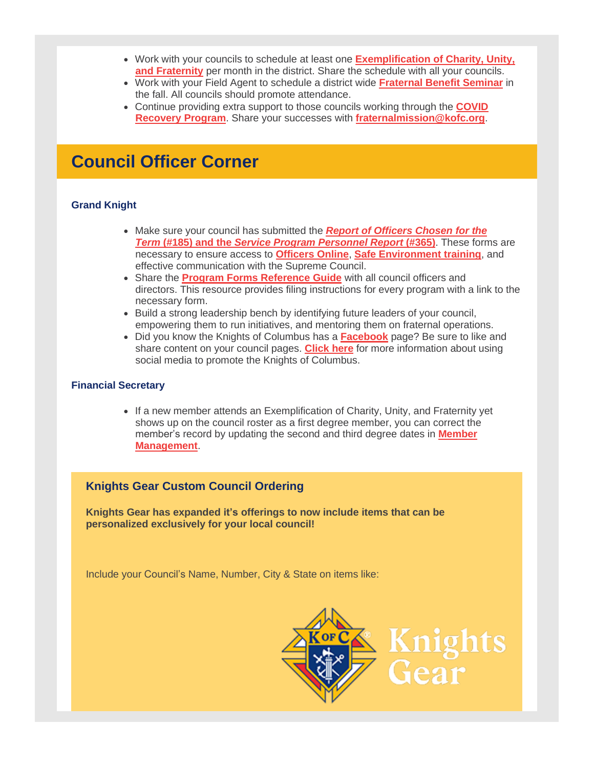- Work with your councils to schedule at least one **[Exemplification](https://r20.rs6.net/tn.jsp?f=001djunHhgWaR98gcM6xaU_XMhjOuer7Fq92LfOcw-2GLw3eBMc7ArgYQEInfA802V4Mniql9PYTBJrPr6wb-JmE-GJyxLr5lD2MLUA930_34S4MEoH0wH6EctefYLyFFj9La0h43iSkpvpf2b6OyvgpZMen8wKYBb1etoLHe53hSoM6spu-ZCAvolQAW3qacoVLDROa1zwiuWLPcg-gcNE7ERtYSyxaP9G__zCiMX67xwCGoRMGGNff4-ePgyu_it7IQNBoDDN4IvJyj64yCXFpVaGcEv11t-TjI2V6IQ0RFndQtMffIKrbt_KYlnfv4sjQHPxQfDOxu_aCgoS3ya1Kw==&c=68y_ZefG7ZpqpivhuyWVU7KAMy3ACg7PC45h7gEZc-U1mIEJ3yGwwg==&ch=qMiwcS23nsGgzbcGQ74VLohTXS_GsEumlApKwQIhXIBYKaovHgU5FA==) of Charity, Unity, and [Fraternity](https://r20.rs6.net/tn.jsp?f=001djunHhgWaR98gcM6xaU_XMhjOuer7Fq92LfOcw-2GLw3eBMc7ArgYQEInfA802V4Mniql9PYTBJrPr6wb-JmE-GJyxLr5lD2MLUA930_34S4MEoH0wH6EctefYLyFFj9La0h43iSkpvpf2b6OyvgpZMen8wKYBb1etoLHe53hSoM6spu-ZCAvolQAW3qacoVLDROa1zwiuWLPcg-gcNE7ERtYSyxaP9G__zCiMX67xwCGoRMGGNff4-ePgyu_it7IQNBoDDN4IvJyj64yCXFpVaGcEv11t-TjI2V6IQ0RFndQtMffIKrbt_KYlnfv4sjQHPxQfDOxu_aCgoS3ya1Kw==&c=68y_ZefG7ZpqpivhuyWVU7KAMy3ACg7PC45h7gEZc-U1mIEJ3yGwwg==&ch=qMiwcS23nsGgzbcGQ74VLohTXS_GsEumlApKwQIhXIBYKaovHgU5FA==)** per month in the district. Share the schedule with all your councils.
- Work with your Field Agent to schedule a district wide **[Fraternal](https://r20.rs6.net/tn.jsp?f=001djunHhgWaR98gcM6xaU_XMhjOuer7Fq92LfOcw-2GLw3eBMc7ArgYQEInfA802V4WgQ6SP2TAiyT4a2HmDnoP_el2ssMyM5oIt1BvCEdPlUdGFdUYgc-cA5saC7NSj2xmhrrywRnH_bBaeDwS7SG89revKXaxYwqLzK0gKBkTUJ4qrnns9JABoeKt23Q_ecNe1FrNgjnUtAIQitOKy25s-OhdFuV_xLt_mGnQFbYFhHTxDHMUiCc0thwfDoCLRvNWEhXnG1aFvESIa_hXtPdFdnrb_WKHFLw1jr2wKDmpNCmcv89LiA5ewDui5ghkq8ou-8G8-dr1xBJnExz41FfYw==&c=68y_ZefG7ZpqpivhuyWVU7KAMy3ACg7PC45h7gEZc-U1mIEJ3yGwwg==&ch=qMiwcS23nsGgzbcGQ74VLohTXS_GsEumlApKwQIhXIBYKaovHgU5FA==) Benefit Seminar** in the fall. All councils should promote attendance.
- Continue providing extra support to those councils working through the **[COVID](https://r20.rs6.net/tn.jsp?f=001djunHhgWaR98gcM6xaU_XMhjOuer7Fq92LfOcw-2GLw3eBMc7ArgYaAbualkcU3Fem4bGoVvaZNi2DTCd1YWY6-oYHZqWkpcsHPQlOzrxxHyrzjgSVuOIHF5tPAlDEvEjuhCkWMqBUOMfB0yV4sRYJ6TCtZFMpYw76PCQbtn90BSRS15cIVgCKgmlhnFslxk6c7_cDCW1pI4pXLnmFCl0LDJIFGDX5JewpcKB0_knd7P5M4CiKHizsEl6FNPKss9Sqw7LdoZ8fZLRB9dagoR3iQo06yDPjbuX-9WoYTMK5E1pdH-O1xvdeq_Ozlk55L4D27RW-oV17jCFGMJwGKwAMifRj6d2ULj6vesiAyzlh0=&c=68y_ZefG7ZpqpivhuyWVU7KAMy3ACg7PC45h7gEZc-U1mIEJ3yGwwg==&ch=qMiwcS23nsGgzbcGQ74VLohTXS_GsEumlApKwQIhXIBYKaovHgU5FA==) [Recovery](https://r20.rs6.net/tn.jsp?f=001djunHhgWaR98gcM6xaU_XMhjOuer7Fq92LfOcw-2GLw3eBMc7ArgYaAbualkcU3Fem4bGoVvaZNi2DTCd1YWY6-oYHZqWkpcsHPQlOzrxxHyrzjgSVuOIHF5tPAlDEvEjuhCkWMqBUOMfB0yV4sRYJ6TCtZFMpYw76PCQbtn90BSRS15cIVgCKgmlhnFslxk6c7_cDCW1pI4pXLnmFCl0LDJIFGDX5JewpcKB0_knd7P5M4CiKHizsEl6FNPKss9Sqw7LdoZ8fZLRB9dagoR3iQo06yDPjbuX-9WoYTMK5E1pdH-O1xvdeq_Ozlk55L4D27RW-oV17jCFGMJwGKwAMifRj6d2ULj6vesiAyzlh0=&c=68y_ZefG7ZpqpivhuyWVU7KAMy3ACg7PC45h7gEZc-U1mIEJ3yGwwg==&ch=qMiwcS23nsGgzbcGQ74VLohTXS_GsEumlApKwQIhXIBYKaovHgU5FA==) Program**. Share your successes with **[fraternalmission@kofc.org](mailto:fraternalmission@kofc.org)**.

## **Council Officer Corner**

## **Grand Knight**

- Make sure your council has submitted the *Report of [Officers](https://r20.rs6.net/tn.jsp?f=001djunHhgWaR98gcM6xaU_XMhjOuer7Fq92LfOcw-2GLw3eBMc7ArgYQEInfA802V4nCLVwKuAu53t7dKU7WE9o45ZsudwjXSAXV_QSGpECA3ETgl3hHPtBySFpJzDW92J3Pj0QY9-q4L27La7av7-CrXLph483w32kNXpE3ShS-IFSMTnGrTW2lzxzl-aKCuDTM_HaJqUSlMM9Ws4Pj9W2JUDTjU8jpwfp0lrkM1b4kTvOOVOK1X9PcpTzdUaBXmove-r3o9wpn2kvX0phR82BPrpv65EGT_ZK63bvtvXIHH6-nfjIFrj7w==&c=68y_ZefG7ZpqpivhuyWVU7KAMy3ACg7PC45h7gEZc-U1mIEJ3yGwwg==&ch=qMiwcS23nsGgzbcGQ74VLohTXS_GsEumlApKwQIhXIBYKaovHgU5FA==) Chosen for the [Term](https://r20.rs6.net/tn.jsp?f=001djunHhgWaR98gcM6xaU_XMhjOuer7Fq92LfOcw-2GLw3eBMc7ArgYQEInfA802V4nCLVwKuAu53t7dKU7WE9o45ZsudwjXSAXV_QSGpECA3ETgl3hHPtBySFpJzDW92J3Pj0QY9-q4L27La7av7-CrXLph483w32kNXpE3ShS-IFSMTnGrTW2lzxzl-aKCuDTM_HaJqUSlMM9Ws4Pj9W2JUDTjU8jpwfp0lrkM1b4kTvOOVOK1X9PcpTzdUaBXmove-r3o9wpn2kvX0phR82BPrpv65EGT_ZK63bvtvXIHH6-nfjIFrj7w==&c=68y_ZefG7ZpqpivhuyWVU7KAMy3ACg7PC45h7gEZc-U1mIEJ3yGwwg==&ch=qMiwcS23nsGgzbcGQ74VLohTXS_GsEumlApKwQIhXIBYKaovHgU5FA==)* **[\(#185\)](https://r20.rs6.net/tn.jsp?f=001djunHhgWaR98gcM6xaU_XMhjOuer7Fq92LfOcw-2GLw3eBMc7ArgYQEInfA802V4nCLVwKuAu53t7dKU7WE9o45ZsudwjXSAXV_QSGpECA3ETgl3hHPtBySFpJzDW92J3Pj0QY9-q4L27La7av7-CrXLph483w32kNXpE3ShS-IFSMTnGrTW2lzxzl-aKCuDTM_HaJqUSlMM9Ws4Pj9W2JUDTjU8jpwfp0lrkM1b4kTvOOVOK1X9PcpTzdUaBXmove-r3o9wpn2kvX0phR82BPrpv65EGT_ZK63bvtvXIHH6-nfjIFrj7w==&c=68y_ZefG7ZpqpivhuyWVU7KAMy3ACg7PC45h7gEZc-U1mIEJ3yGwwg==&ch=qMiwcS23nsGgzbcGQ74VLohTXS_GsEumlApKwQIhXIBYKaovHgU5FA==) [and](https://r20.rs6.net/tn.jsp?f=001djunHhgWaR98gcM6xaU_XMhjOuer7Fq92LfOcw-2GLw3eBMc7ArgYQEInfA802V4nCLVwKuAu53t7dKU7WE9o45ZsudwjXSAXV_QSGpECA3ETgl3hHPtBySFpJzDW92J3Pj0QY9-q4L27La7av7-CrXLph483w32kNXpE3ShS-IFSMTnGrTW2lzxzl-aKCuDTM_HaJqUSlMM9Ws4Pj9W2JUDTjU8jpwfp0lrkM1b4kTvOOVOK1X9PcpTzdUaBXmove-r3o9wpn2kvX0phR82BPrpv65EGT_ZK63bvtvXIHH6-nfjIFrj7w==&c=68y_ZefG7ZpqpivhuyWVU7KAMy3ACg7PC45h7gEZc-U1mIEJ3yGwwg==&ch=qMiwcS23nsGgzbcGQ74VLohTXS_GsEumlApKwQIhXIBYKaovHgU5FA==) the** *Service Program [Personnel](https://r20.rs6.net/tn.jsp?f=001djunHhgWaR98gcM6xaU_XMhjOuer7Fq92LfOcw-2GLw3eBMc7ArgYQEInfA802V4nCLVwKuAu53t7dKU7WE9o45ZsudwjXSAXV_QSGpECA3ETgl3hHPtBySFpJzDW92J3Pj0QY9-q4L27La7av7-CrXLph483w32kNXpE3ShS-IFSMTnGrTW2lzxzl-aKCuDTM_HaJqUSlMM9Ws4Pj9W2JUDTjU8jpwfp0lrkM1b4kTvOOVOK1X9PcpTzdUaBXmove-r3o9wpn2kvX0phR82BPrpv65EGT_ZK63bvtvXIHH6-nfjIFrj7w==&c=68y_ZefG7ZpqpivhuyWVU7KAMy3ACg7PC45h7gEZc-U1mIEJ3yGwwg==&ch=qMiwcS23nsGgzbcGQ74VLohTXS_GsEumlApKwQIhXIBYKaovHgU5FA==) Report* **[\(#365\)](https://r20.rs6.net/tn.jsp?f=001djunHhgWaR98gcM6xaU_XMhjOuer7Fq92LfOcw-2GLw3eBMc7ArgYQEInfA802V4nCLVwKuAu53t7dKU7WE9o45ZsudwjXSAXV_QSGpECA3ETgl3hHPtBySFpJzDW92J3Pj0QY9-q4L27La7av7-CrXLph483w32kNXpE3ShS-IFSMTnGrTW2lzxzl-aKCuDTM_HaJqUSlMM9Ws4Pj9W2JUDTjU8jpwfp0lrkM1b4kTvOOVOK1X9PcpTzdUaBXmove-r3o9wpn2kvX0phR82BPrpv65EGT_ZK63bvtvXIHH6-nfjIFrj7w==&c=68y_ZefG7ZpqpivhuyWVU7KAMy3ACg7PC45h7gEZc-U1mIEJ3yGwwg==&ch=qMiwcS23nsGgzbcGQ74VLohTXS_GsEumlApKwQIhXIBYKaovHgU5FA==)**. These forms are necessary to ensure access to **[Officers](https://r20.rs6.net/tn.jsp?f=001djunHhgWaR98gcM6xaU_XMhjOuer7Fq92LfOcw-2GLw3eBMc7ArgYXv-sINYw_xA_f9QGuUUSsyeDBRxKq96JO76b1c6Fz_v--amDeK6eM1XSrtrNRZ3SyFjenINGbf23JTR-0-R-ERGy_QPT7v1KfwkDNqGUtYZeHp09jqudJ7dkkKbyNSseYS8nuEmozsaEsCOFXhDTYPmCwKvoXd853rkrP2Vsd16&c=68y_ZefG7ZpqpivhuyWVU7KAMy3ACg7PC45h7gEZc-U1mIEJ3yGwwg==&ch=qMiwcS23nsGgzbcGQ74VLohTXS_GsEumlApKwQIhXIBYKaovHgU5FA==) Online**, **Safe [Environment](https://r20.rs6.net/tn.jsp?f=001djunHhgWaR98gcM6xaU_XMhjOuer7Fq92LfOcw-2GLw3eBMc7ArgYQEInfA802V4fpBC5hfZ8zV6jjo2qhmf4pluaBbLGGSiq0OUVNxuUCSJ9cFmJ9H7PXmuXHSRYnt7_nEViFTBwKE-36iWZisyk42S_EFXlfZcijND_mChnTm8B2GsMZgWIaHD60aVnCfOv6h3AscgGtoT4Yox6rvwxd1gppIU697QdjY5qkcGw7eXnUu4agl3GHXKcRTl-uQShgCsPzSdAeiosUntO7Aq0AXjsRfPFf6EfUxWtfsGCAIryHHSGXxLAA==&c=68y_ZefG7ZpqpivhuyWVU7KAMy3ACg7PC45h7gEZc-U1mIEJ3yGwwg==&ch=qMiwcS23nsGgzbcGQ74VLohTXS_GsEumlApKwQIhXIBYKaovHgU5FA==) training**, and effective communication with the Supreme Council.
- Share the **Program Forms [Reference](https://r20.rs6.net/tn.jsp?f=001djunHhgWaR98gcM6xaU_XMhjOuer7Fq92LfOcw-2GLw3eBMc7ArgYQEInfA802V4WPfEZrrsP1vESbr3cwmOoudurYST_TC3qRNGcsI-cM8NJoJJZ3cUXukKKmbmPvwGus_klRnUm7z88VmcZptrnXD6glok9Hm8bOFdMxCIG-p4hNjvp3WDATzEquR8KuCytIVjeESh7la1mqr6w1dqbHrWYekzbd2SVvO9hFOgSAhnWI2LBiGeKrAAdSEmnLTN_n6FeYEMLZSEQw2WT1Co_JopE8Wyi0iPd3x107is6Qd8eHUPqfu6DK9aN-05iStz5oqq3UMduZN1LJgQWB6olE8HQsIjAwYDvrBQI9_32702-onwBgMN0A==&c=68y_ZefG7ZpqpivhuyWVU7KAMy3ACg7PC45h7gEZc-U1mIEJ3yGwwg==&ch=qMiwcS23nsGgzbcGQ74VLohTXS_GsEumlApKwQIhXIBYKaovHgU5FA==) Guide** with all council officers and directors. This resource provides filing instructions for every program with a link to the necessary form.
- Build a strong leadership bench by identifying future leaders of your council, empowering them to run initiatives, and mentoring them on fraternal operations.
- Did you know the Knights of Columbus has a **[Facebook](https://r20.rs6.net/tn.jsp?f=001djunHhgWaR98gcM6xaU_XMhjOuer7Fq92LfOcw-2GLw3eBMc7ArgYcYyIpIDUkgm917tfjhJ6YxG-GBlNo8zDH_yXCNn01d_Y1-xs6vqEgpXYL0IUg57VeH0I_NUdpQD8Qcpt5sc5UgzwZQRO3xinE3emQOMKsfSqooKwyHIvVY=&c=68y_ZefG7ZpqpivhuyWVU7KAMy3ACg7PC45h7gEZc-U1mIEJ3yGwwg==&ch=qMiwcS23nsGgzbcGQ74VLohTXS_GsEumlApKwQIhXIBYKaovHgU5FA==)** page? Be sure to like and share content on your council pages. **[Click](https://r20.rs6.net/tn.jsp?f=001djunHhgWaR98gcM6xaU_XMhjOuer7Fq92LfOcw-2GLw3eBMc7ArgYQEInfA802V4mlVvyOQmTlcVe3lykVPdLuVn_GBLrIePzlJq3OFEWhnwcegeoOM5h8V6BB1Simg5WgHeA5z4HxuAP6uD7ZgvqDDyrUIeJx1j1lfX_GgyYF7uMl1mogIy1cuRrHrGBgzx5uDAwPn9PDuIOUn6jeEFcbCeA8MOGwEZfJc6_mc8Aoc5HBlv-nryKMB--OA-HnhGFk5UKLnHTLbo2mhTxxYmhQ-cMjs0GpnoEMOQSyi5uXoC2-D4R5fUU9tKXpfJSQgoue6M_oBBSJikcr2inCGGPk-EsmFY72ud087T8pgbzZeu5BmB4DTiatJYemiJmDzRVqw6RxaGyUFp1eWjW9y85Q==&c=68y_ZefG7ZpqpivhuyWVU7KAMy3ACg7PC45h7gEZc-U1mIEJ3yGwwg==&ch=qMiwcS23nsGgzbcGQ74VLohTXS_GsEumlApKwQIhXIBYKaovHgU5FA==) here** for more information about using social media to promote the Knights of Columbus.

## **Financial Secretary**

• If a new member attends an Exemplification of Charity, Unity, and Fraternity yet shows up on the council roster as a first degree member, you can correct the member's record by updating the second and third degree dates in **[Member](https://r20.rs6.net/tn.jsp?f=001djunHhgWaR98gcM6xaU_XMhjOuer7Fq92LfOcw-2GLw3eBMc7ArgYdcoJUM0Fp-yDqHZqZ3raIBaq1rftkdweggJrjp2OP91SUtRNZOPIQgTA41iz-XQsN9Gm0wNb0I4QncwRXlGzQFw_afxi5AYADfE5Khu9yCA5QWJb5gEoO2CaYnchaeqAaGXJWbW3c9_QSCPyW037oNwpNAHG9osTW9HguEnaMNML4fxboT4snw=&c=68y_ZefG7ZpqpivhuyWVU7KAMy3ACg7PC45h7gEZc-U1mIEJ3yGwwg==&ch=qMiwcS23nsGgzbcGQ74VLohTXS_GsEumlApKwQIhXIBYKaovHgU5FA==) [Management](https://r20.rs6.net/tn.jsp?f=001djunHhgWaR98gcM6xaU_XMhjOuer7Fq92LfOcw-2GLw3eBMc7ArgYdcoJUM0Fp-yDqHZqZ3raIBaq1rftkdweggJrjp2OP91SUtRNZOPIQgTA41iz-XQsN9Gm0wNb0I4QncwRXlGzQFw_afxi5AYADfE5Khu9yCA5QWJb5gEoO2CaYnchaeqAaGXJWbW3c9_QSCPyW037oNwpNAHG9osTW9HguEnaMNML4fxboT4snw=&c=68y_ZefG7ZpqpivhuyWVU7KAMy3ACg7PC45h7gEZc-U1mIEJ3yGwwg==&ch=qMiwcS23nsGgzbcGQ74VLohTXS_GsEumlApKwQIhXIBYKaovHgU5FA==)**.

## **Knights Gear Custom Council Ordering**

**Knights Gear has expanded it's offerings to now include items that can be personalized exclusively for your local council!**

Include your Council's Name, Number, City & State on items like: